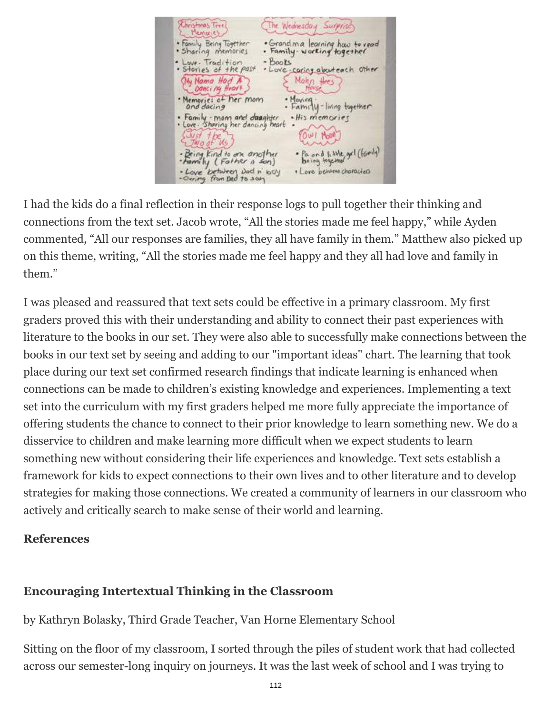Christmas Tree The Wednesday Surprise • Grandima learning hav to read<br>• Family-working together . Family Being Tagether · Sharing memories Love. Tradition - Books<br>Stories of the past - Love. caring about each other My Noma Had A Mahn thes Memories of her mom · Moving .<br>• Family - living together Family - mom and daughter<br>Love : Sharing her dancing heart . His memories OWI MOON WO OF -<br>Being kind to an another<br>- Love between Dad n' hove Pa and 1, 12te get (family)<br>being together - Love between Dad n' boy<br>- Oering from Dad to son · Love behave characters

I had the kids do a final reflection in their response logs to pull together their thinking and connections from the text set. Jacob wrote, "All the stories made me feel happy," while Ayden commented, "All our responses are families, they all have family in them." Matthew also picked up on this theme, writing, "All the stories made me feel happy and they all had love and family in them."

I was pleased and reassured that text sets could be effective in a primary classroom. My first graders proved this with their understanding and ability to connect their past experiences with literature to the books in our set. They were also able to successfully make connections between the books in our text set by seeing and adding to our "important ideas" chart. The learning that took place during our text set confirmed research findings that indicate learning is enhanced when connections can be made to children's existing knowledge and experiences. Implementing a text set into the curriculum with my first graders helped me more fully appreciate the importance of offering students the chance to connect to their prior knowledge to learn something new. We do a disservice to children and make learning more difficult when we expect students to learn something new without considering their life experiences and knowledge. Text sets establish a framework for kids to expect connections to their own lives and to other literature and to develop strategies for making those connections. We created a community of learners in our classroom who actively and critically search to make sense of their world and learning.

### **References**

# **Encouraging Intertextual Thinking in the Classroom**

by Kathryn Bolasky, Third Grade Teacher, Van Horne Elementary School

Sitting on the floor of my classroom, I sorted through the piles of student work that had collected across our semester-long inquiry on journeys. It was the last week of school and I was trying to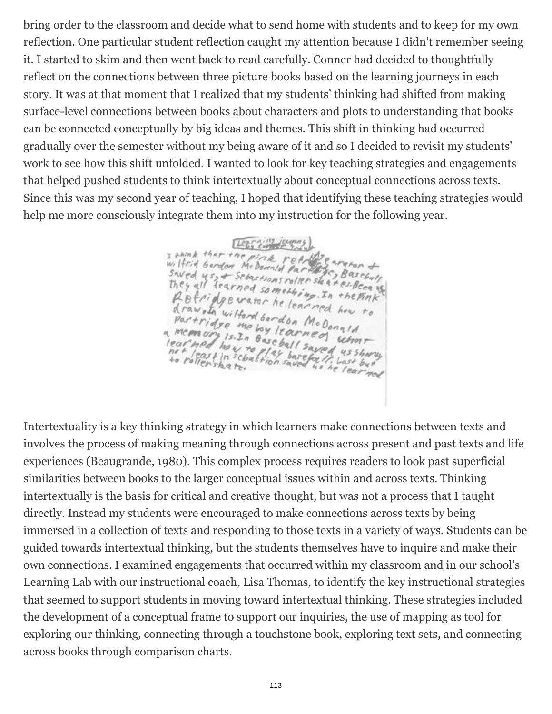bring order to the classroom and decide what to send home with students and to keep for my own reflection. One particular student reflection caught my attention because I didn't remember seeing it. I started to skim and then went back to read carefully. Conner had decided to thoughtfully reflect on the connections between three picture books based on the learning journeys in each story. It was at that moment that I realized that my students' thinking had shifted from making surface-level connections between books about characters and plots to understanding that books can be connected conceptually by big ideas and themes. This shift in thinking had occurred gradually over the semester without my being aware of it and so I decided to revisit my students' work to see how this shift unfolded. I wanted to look for key teaching strategies and engagements that helped pushed students to think intertextually about conceptual connections across texts. Since this was my second year of teaching, I hoped that identifying these teaching strategies would help me more consciously integrate them into my instruction for the following year.

I faint that the pines of the real of the same of<br>wilfrid Gerdon Me Donald Parties of the Sassant<br>Saved us, + Sebastions roller staat es Because Legg Computer They all learned something. In the pink Refridge water he learned how to A raw . In wilford bordon McDonald<br>Partridge the bordon McDonald<br>Memorian ... rtridge the bordon McDonald<br>concors is. In boy learned what Remove the boy learned what<br>Iearned how to base ball saved us shortly<br>het least in schaftler barefort, Last by a

Intertextuality is a key thinking strategy in which learners make connections between texts and involves the process of making meaning through connections across present and past texts and life experiences (Beaugrande, 1980). This complex process requires readers to look past superficial similarities between books to the larger conceptual issues within and across texts. Thinking intertextually is the basis for critical and creative thought, but was not a process that I taught directly. Instead my students were encouraged to make connections across texts by being immersed in a collection of texts and responding to those texts in a variety of ways. Students can be guided towards intertextual thinking, but the students themselves have to inquire and make their own connections. I examined engagements that occurred within my classroom and in our school's Learning Lab with our instructional coach, Lisa Thomas, to identify the key instructional strategies that seemed to support students in moving toward intertextual thinking. These strategies included the development of a conceptual frame to support our inquiries, the use of mapping as tool for exploring our thinking, connecting through a touchstone book, exploring text sets, and connecting across books through comparison charts.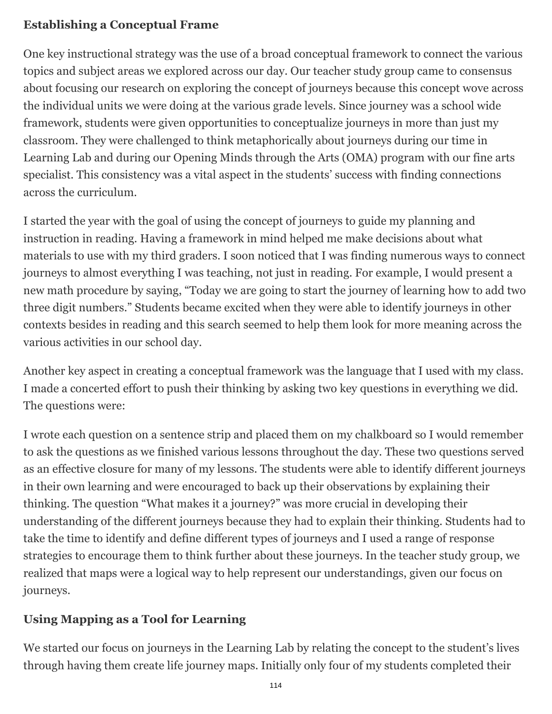# **Establishing a Conceptual Frame**

One key instructional strategy was the use of a broad conceptual framework to connect the various topics and subject areas we explored across our day. Our teacher study group came to consensus about focusing our research on exploring the concept of journeys because this concept wove across the individual units we were doing at the various grade levels. Since journey was a school wide framework, students were given opportunities to conceptualize journeys in more than just my classroom. They were challenged to think metaphorically about journeys during our time in Learning Lab and during our Opening Minds through the Arts (OMA) program with our fine arts specialist. This consistency was a vital aspect in the students' success with finding connections across the curriculum.

I started the year with the goal of using the concept of journeys to guide my planning and instruction in reading. Having a framework in mind helped me make decisions about what materials to use with my third graders. I soon noticed that I was finding numerous ways to connect journeys to almost everything I was teaching, not just in reading. For example, I would present a new math procedure by saying, "Today we are going to start the journey of learning how to add two three digit numbers." Students became excited when they were able to identify journeys in other contexts besides in reading and this search seemed to help them look for more meaning across the various activities in our school day.

Another key aspect in creating a conceptual framework was the language that I used with my class. I made a concerted effort to push their thinking by asking two key questions in everything we did. The questions were:

I wrote each question on a sentence strip and placed them on my chalkboard so I would remember to ask the questions as we finished various lessons throughout the day. These two questions served as an effective closure for many of my lessons. The students were able to identify different journeys in their own learning and were encouraged to back up their observations by explaining their thinking. The question "What makes it a journey?" was more crucial in developing their understanding of the different journeys because they had to explain their thinking. Students had to take the time to identify and define different types of journeys and I used a range of response strategies to encourage them to think further about these journeys. In the teacher study group, we realized that maps were a logical way to help represent our understandings, given our focus on journeys.

# **Using Mapping as a Tool for Learning**

We started our focus on journeys in the Learning Lab by relating the concept to the student's lives through having them create life journey maps. Initially only four of my students completed their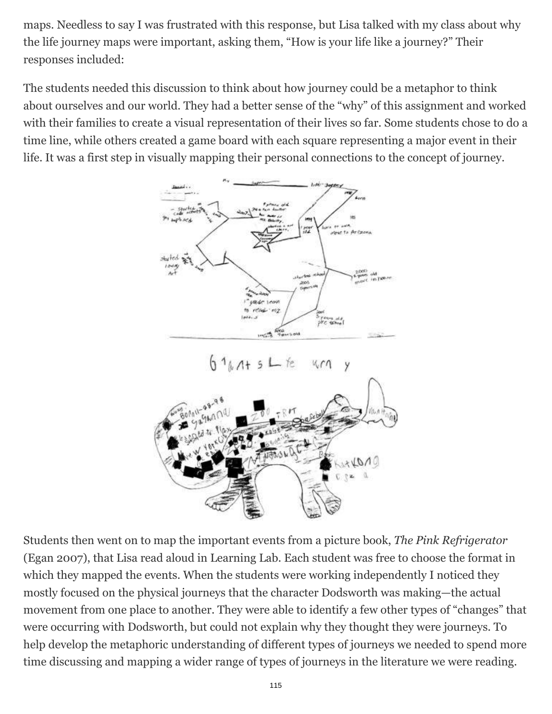maps. Needless to say I was frustrated with this response, but Lisa talked with my class about why the life journey maps were important, asking them, "How is your life like a journey?" Their responses included:

The students needed this discussion to think about how journey could be a metaphor to think about ourselves and our world. They had a better sense of the "why" of this assignment and worked with their families to create a visual representation of their lives so far. Some students chose to do a time line, while others created a game board with each square representing a major event in their life. It was a first step in visually mapping their personal connections to the concept of journey.



Students then went on to map the important events from a picture book, *The Pink Refrigerator* (Egan 2007), that Lisa read aloud in Learning Lab. Each student was free to choose the format in which they mapped the events. When the students were working independently I noticed they mostly focused on the physical journeys that the character Dodsworth was making—the actual movement from one place to another. They were able to identify a few other types of "changes" that were occurring with Dodsworth, but could not explain why they thought they were journeys. To help develop the metaphoric understanding of different types of journeys we needed to spend more time discussing and mapping a wider range of types of journeys in the literature we were reading.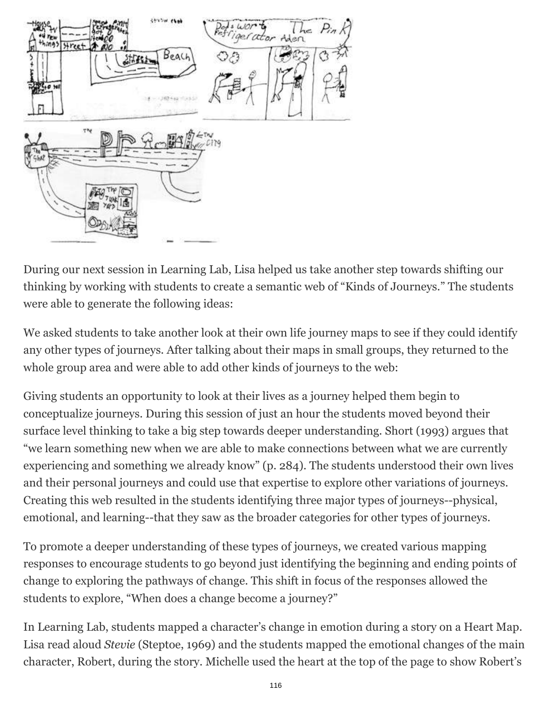

During our next session in Learning Lab, Lisa helped us take another step towards shifting our thinking by working with students to create a semantic web of "Kinds of Journeys." The students were able to generate the following ideas:

We asked students to take another look at their own life journey maps to see if they could identify any other types of journeys. After talking about their maps in small groups, they returned to the whole group area and were able to add other kinds of journeys to the web:

Giving students an opportunity to look at their lives as a journey helped them begin to conceptualize journeys. During this session of just an hour the students moved beyond their surface level thinking to take a big step towards deeper understanding. Short (1993) argues that "we learn something new when we are able to make connections between what we are currently experiencing and something we already know" (p. 284). The students understood their own lives and their personal journeys and could use that expertise to explore other variations of journeys. Creating this web resulted in the students identifying three major types of journeys--physical, emotional, and learning--that they saw as the broader categories for other types of journeys.

To promote a deeper understanding of these types of journeys, we created various mapping responses to encourage students to go beyond just identifying the beginning and ending points of change to exploring the pathways of change. This shift in focus of the responses allowed the students to explore, "When does a change become a journey?"

In Learning Lab, students mapped a character's change in emotion during a story on a Heart Map. Lisa read aloud *Stevie* (Steptoe, 1969) and the students mapped the emotional changes of the main character, Robert, during the story. Michelle used the heart at the top of the page to show Robert's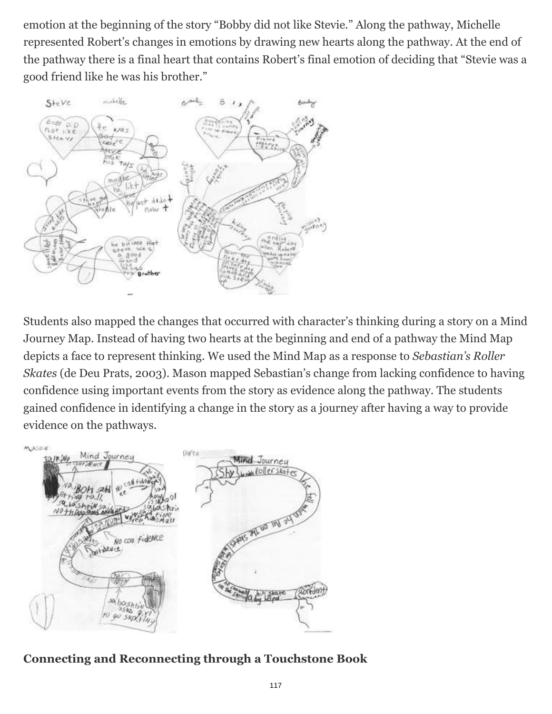emotion at the beginning of the story "Bobby did not like Stevie." Along the pathway, Michelle represented Robert's changes in emotions by drawing new hearts along the pathway. At the end of the pathway there is a final heart that contains Robert's final emotion of deciding that "Stevie was a good friend like he was his brother."



Students also mapped the changes that occurred with character's thinking during a story on a Mind Journey Map. Instead of having two hearts at the beginning and end of a pathway the Mind Map depicts a face to represent thinking. We used the Mind Map as a response to *Sebastian's Roller Skates* (de Deu Prats, 2003). Mason mapped Sebastian's change from lacking confidence to having confidence using important events from the story as evidence along the pathway. The students gained confidence in identifying a change in the story as a journey after having a way to provide evidence on the pathways.



#### **Connecting and Reconnecting through a Touchstone Book**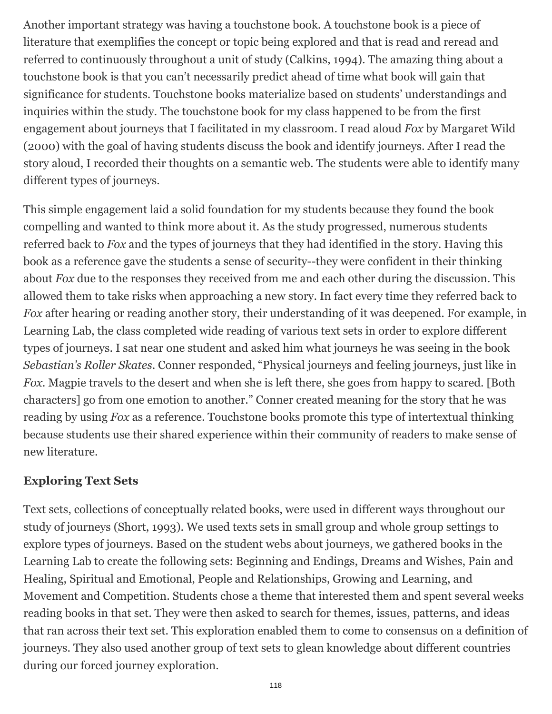Another important strategy was having a touchstone book. A touchstone book is a piece of literature that exemplifies the concept or topic being explored and that is read and reread and referred to continuously throughout a unit of study (Calkins, 1994). The amazing thing about a touchstone book is that you can't necessarily predict ahead of time what book will gain that significance for students. Touchstone books materialize based on students' understandings and inquiries within the study. The touchstone book for my class happened to be from the first engagement about journeys that I facilitated in my classroom. I read aloud *Fox* by Margaret Wild (2000) with the goal of having students discuss the book and identify journeys. After I read the story aloud, I recorded their thoughts on a semantic web. The students were able to identify many different types of journeys.

This simple engagement laid a solid foundation for my students because they found the book compelling and wanted to think more about it. As the study progressed, numerous students referred back to *Fox* and the types of journeys that they had identified in the story. Having this book as a reference gave the students a sense of security--they were confident in their thinking about *Fox* due to the responses they received from me and each other during the discussion. This allowed them to take risks when approaching a new story. In fact every time they referred back to *Fox* after hearing or reading another story, their understanding of it was deepened. For example, in Learning Lab, the class completed wide reading of various text sets in order to explore different types of journeys. I sat near one student and asked him what journeys he was seeing in the book *Sebastian's Roller Skates*. Conner responded, "Physical journeys and feeling journeys, just like in *Fox*. Magpie travels to the desert and when she is left there, she goes from happy to scared. [Both characters] go from one emotion to another." Conner created meaning for the story that he was reading by using *Fox* as a reference. Touchstone books promote this type of intertextual thinking because students use their shared experience within their community of readers to make sense of new literature.

# **Exploring Text Sets**

Text sets, collections of conceptually related books, were used in different ways throughout our study of journeys (Short, 1993). We used texts sets in small group and whole group settings to explore types of journeys. Based on the student webs about journeys, we gathered books in the Learning Lab to create the following sets: Beginning and Endings, Dreams and Wishes, Pain and Healing, Spiritual and Emotional, People and Relationships, Growing and Learning, and Movement and Competition. Students chose a theme that interested them and spent several weeks reading books in that set. They were then asked to search for themes, issues, patterns, and ideas that ran across their text set. This exploration enabled them to come to consensus on a definition of journeys. They also used another group of text sets to glean knowledge about different countries during our forced journey exploration.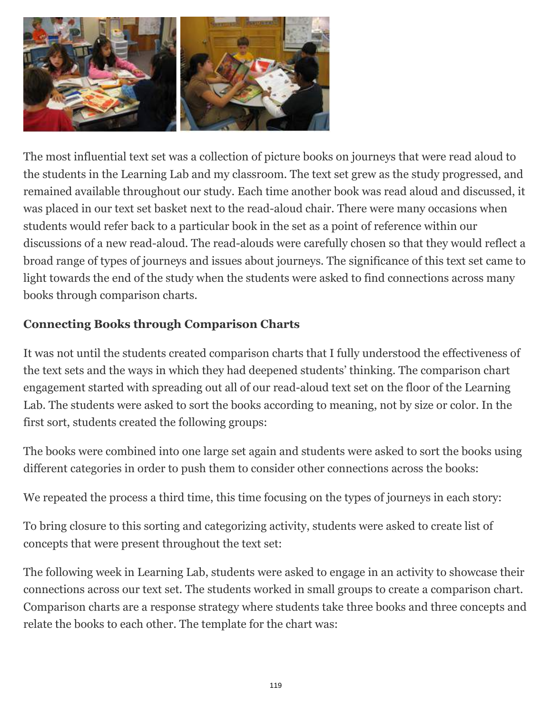

The most influential text set was a collection of picture books on journeys that were read aloud to the students in the Learning Lab and my classroom. The text set grew as the study progressed, and remained available throughout our study. Each time another book was read aloud and discussed, it was placed in our text set basket next to the read-aloud chair. There were many occasions when students would refer back to a particular book in the set as a point of reference within our discussions of a new read-aloud. The read-alouds were carefully chosen so that they would reflect a broad range of types of journeys and issues about journeys. The significance of this text set came to light towards the end of the study when the students were asked to find connections across many books through comparison charts.

# **Connecting Books through Comparison Charts**

It was not until the students created comparison charts that I fully understood the effectiveness of the text sets and the ways in which they had deepened students' thinking. The comparison chart engagement started with spreading out all of our read-aloud text set on the floor of the Learning Lab. The students were asked to sort the books according to meaning, not by size or color. In the first sort, students created the following groups:

The books were combined into one large set again and students were asked to sort the books using different categories in order to push them to consider other connections across the books:

We repeated the process a third time, this time focusing on the types of journeys in each story:

To bring closure to this sorting and categorizing activity, students were asked to create list of concepts that were present throughout the text set:

The following week in Learning Lab, students were asked to engage in an activity to showcase their connections across our text set. The students worked in small groups to create a comparison chart. Comparison charts are a response strategy where students take three books and three concepts and relate the books to each other. The template for the chart was: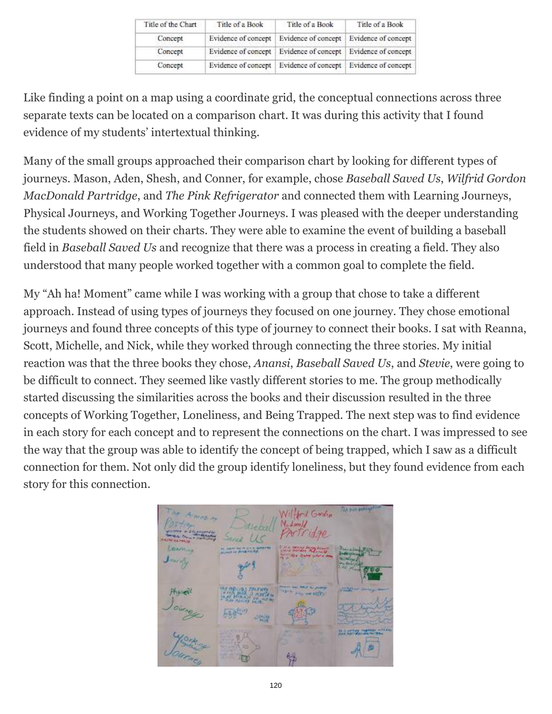| Title of the Chart | Title of a Book     | Title of a Book                                                 | Title of a Book |
|--------------------|---------------------|-----------------------------------------------------------------|-----------------|
| Concept            | Evidence of concept | Evidence of concept   Evidence of concept                       |                 |
| Concept            |                     | Evidence of concept   Evidence of concept   Evidence of concept |                 |
| Concept            | Evidence of concept | Evidence of concept Evidence of concept                         |                 |

Like finding a point on a map using a coordinate grid, the conceptual connections across three separate texts can be located on a comparison chart. It was during this activity that I found evidence of my students' intertextual thinking.

Many of the small groups approached their comparison chart by looking for different types of journeys. Mason, Aden, Shesh, and Conner, for example, chose *Baseball Saved Us*, *Wilfrid Gordon MacDonald Partridge*, and *The Pink Refrigerator* and connected them with Learning Journeys, Physical Journeys, and Working Together Journeys. I was pleased with the deeper understanding the students showed on their charts. They were able to examine the event of building a baseball field in *Baseball Saved Us* and recognize that there was a process in creating a field. They also understood that many people worked together with a common goal to complete the field.

My "Ah ha! Moment" came while I was working with a group that chose to take a different approach. Instead of using types of journeys they focused on one journey. They chose emotional journeys and found three concepts of this type of journey to connect their books. I sat with Reanna, Scott, Michelle, and Nick, while they worked through connecting the three stories. My initial reaction was that the three books they chose, *Anansi*, *Baseball Saved Us*, and *Stevie*, were going to be difficult to connect. They seemed like vastly different stories to me. The group methodically started discussing the similarities across the books and their discussion resulted in the three concepts of Working Together, Loneliness, and Being Trapped. The next step was to find evidence in each story for each concept and to represent the connections on the chart. I was impressed to see the way that the group was able to identify the concept of being trapped, which I saw as a difficult connection for them. Not only did the group identify loneliness, but they found evidence from each story for this connection.